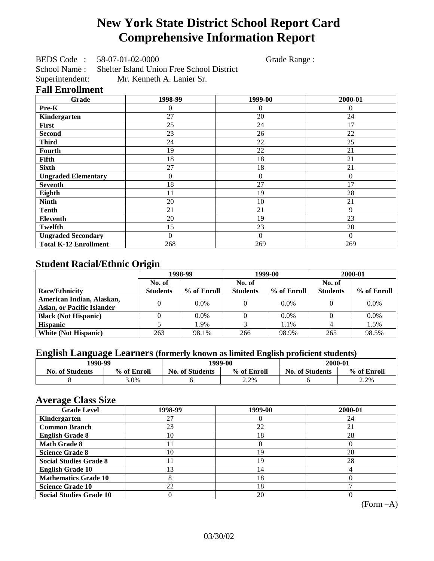# **New York State District School Report Card Comprehensive Information Report**

BEDS Code : 58-07-01-02-0000 Grade Range :

School Name : Shelter Island Union Free School District<br>Superintendent: Mr. Kenneth A. Lanier Sr. Mr. Kenneth A. Lanier Sr.

### **Fall Enrollment**

| Grade                        | 1998-99        | 1999-00        | 2000-01  |
|------------------------------|----------------|----------------|----------|
| Pre-K                        | 0              | $\overline{0}$ | $\Omega$ |
| Kindergarten                 | 27             | 20             | 24       |
| First                        | 25             | 24             | 17       |
| <b>Second</b>                | 23             | 26             | 22       |
| <b>Third</b>                 | 24             | 22             | 25       |
| <b>Fourth</b>                | 19             | 22             | 21       |
| Fifth                        | 18             | 18             | 21       |
| <b>Sixth</b>                 | 27             | 18             | 21       |
| <b>Ungraded Elementary</b>   | 0              | $\overline{0}$ | $\Omega$ |
| <b>Seventh</b>               | 18             | 27             | 17       |
| Eighth                       | 11             | 19             | 28       |
| <b>Ninth</b>                 | 20             | 10             | 21       |
| <b>Tenth</b>                 | 21             | 21             | 9        |
| <b>Eleventh</b>              | 20             | 19             | 23       |
| <b>Twelfth</b>               | 15             | 23             | 20       |
| <b>Ungraded Secondary</b>    | $\overline{0}$ | $\Omega$       | $\Omega$ |
| <b>Total K-12 Enrollment</b> | 268            | 269            | 269      |

## **Student Racial/Ethnic Origin**

|                                   | 1998-99         |             |                 | 1999-00     | 2000-01         |             |
|-----------------------------------|-----------------|-------------|-----------------|-------------|-----------------|-------------|
|                                   | No. of          |             | No. of          |             | No. of          |             |
| <b>Race/Ethnicity</b>             | <b>Students</b> | % of Enroll | <b>Students</b> | % of Enroll | <b>Students</b> | % of Enroll |
| American Indian, Alaskan,         | 0               | $0.0\%$     |                 | $0.0\%$     |                 | $0.0\%$     |
| <b>Asian, or Pacific Islander</b> |                 |             |                 |             |                 |             |
| <b>Black (Not Hispanic)</b>       |                 | $0.0\%$     |                 | $0.0\%$     |                 | $0.0\%$     |
| <b>Hispanic</b>                   |                 | 1.9%        |                 | 1.1%        |                 | 1.5%        |
| <b>White (Not Hispanic)</b>       | 263             | 98.1%       | 266             | 98.9%       | 265             | 98.5%       |

## **English Language Learners (formerly known as limited English proficient students)**

|                        | 1998-99<br>1999-00 |                        | 2000-01     |                        |             |
|------------------------|--------------------|------------------------|-------------|------------------------|-------------|
| <b>No. of Students</b> | % of Enroll        | <b>No. of Students</b> | % of Enroll | <b>No. of Students</b> | % of Enroll |
|                        | 3.0%               |                        | 2.2%        |                        | 2.2%        |

### **Average Class Size**

| <b>Grade Level</b>             | 1998-99 | 1999-00 | 2000-01 |
|--------------------------------|---------|---------|---------|
| Kindergarten                   | 27      |         | 24      |
| <b>Common Branch</b>           | 23      | 22      | 21      |
| <b>English Grade 8</b>         | 10      | 18      | 28      |
| <b>Math Grade 8</b>            |         |         |         |
| <b>Science Grade 8</b>         | 10      | 19      | 28      |
| <b>Social Studies Grade 8</b>  |         | 19      | 28      |
| <b>English Grade 10</b>        | 3       | 14      |         |
| <b>Mathematics Grade 10</b>    |         | 18      |         |
| <b>Science Grade 10</b>        | 22      | 18      |         |
| <b>Social Studies Grade 10</b> |         | 20      |         |

(Form –A)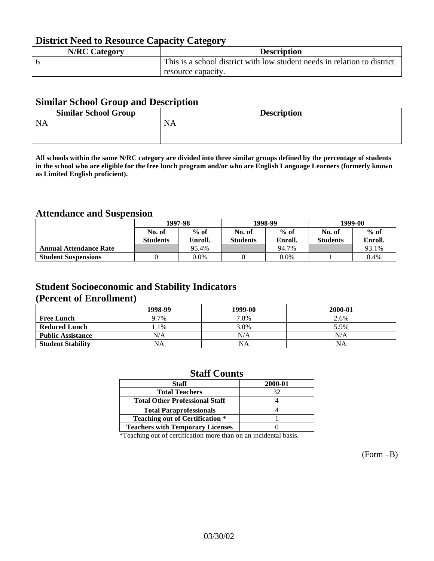## **District Need to Resource Capacity Category**

| <b>N/RC Category</b> | <b>Description</b>                                                       |
|----------------------|--------------------------------------------------------------------------|
|                      | This is a school district with low student needs in relation to district |
|                      | resource capacity.                                                       |

### **Similar School Group and Description**

| <b>Similar School Group</b> | <b>Description</b> |
|-----------------------------|--------------------|
| <b>NA</b>                   | NA.                |

**All schools within the same N/RC category are divided into three similar groups defined by the percentage of students in the school who are eligible for the free lunch program and/or who are English Language Learners (formerly known as Limited English proficient).**

## **Attendance and Suspension**

|                               |                 | 1997-98 |                 | 1998-99 | 1999-00         |         |
|-------------------------------|-----------------|---------|-----------------|---------|-----------------|---------|
|                               | No. of          | $%$ of  | No. of          | $%$ of  | No. of          | $%$ of  |
|                               | <b>Students</b> | Enroll. | <b>Students</b> | Enroll. | <b>Students</b> | Enroll. |
| <b>Annual Attendance Rate</b> |                 | 95.4%   |                 | 94.7%   |                 | 93.1%   |
| <b>Student Suspensions</b>    |                 | 0.0%    |                 | $0.0\%$ |                 | 0.4%    |

## **Student Socioeconomic and Stability Indicators (Percent of Enrollment)**

|                          | 1998-99 | 1999-00 | 2000-01 |
|--------------------------|---------|---------|---------|
| <b>Free Lunch</b>        | 9.7%    | 7.8%    | 2.6%    |
| <b>Reduced Lunch</b>     | $.1\%$  | 3.0%    | 5.9%    |
| <b>Public Assistance</b> | N/A     | N/A     | N/A     |
| <b>Student Stability</b> | NA      | NA      | NA      |

### **Staff Counts**

| <b>Staff</b>                            | 2000-01 |
|-----------------------------------------|---------|
| <b>Total Teachers</b>                   | 32      |
| <b>Total Other Professional Staff</b>   |         |
| <b>Total Paraprofessionals</b>          |         |
| <b>Teaching out of Certification *</b>  |         |
| <b>Teachers with Temporary Licenses</b> |         |

\*Teaching out of certification more than on an incidental basis.

(Form –B)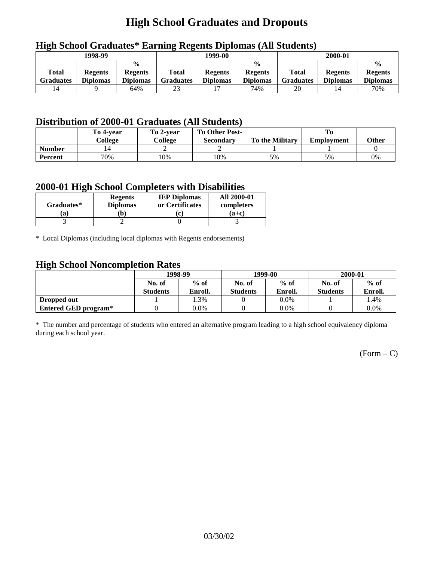# **High School Graduates and Dropouts**

|                    | 1998-99                           |                                                    |                           | 1999-00                           |                                                    |                                  | 2000-01                           |                                                    |
|--------------------|-----------------------------------|----------------------------------------------------|---------------------------|-----------------------------------|----------------------------------------------------|----------------------------------|-----------------------------------|----------------------------------------------------|
| Total<br>Graduates | <b>Regents</b><br><b>Diplomas</b> | $\frac{0}{0}$<br><b>Regents</b><br><b>Diplomas</b> | Total<br><b>Graduates</b> | <b>Regents</b><br><b>Diplomas</b> | $\frac{0}{0}$<br><b>Regents</b><br><b>Diplomas</b> | <b>Total</b><br><b>Graduates</b> | <b>Regents</b><br><b>Diplomas</b> | $\frac{0}{0}$<br><b>Regents</b><br><b>Diplomas</b> |
|                    |                                   | 64%                                                | 23                        |                                   | 74%                                                | 20                               |                                   | 70%                                                |

## **High School Graduates\* Earning Regents Diplomas (All Students)**

## **Distribution of 2000-01 Graduates (All Students)**

|               | To 4-vear | To 2-year | <b>To Other Post-</b> |                        |                   |       |
|---------------|-----------|-----------|-----------------------|------------------------|-------------------|-------|
|               | College   | College   | Secondary             | <b>To the Military</b> | <b>Employment</b> | Other |
| <b>Number</b> |           |           |                       |                        |                   |       |
| Percent       | 70%       | 10%       | !0%                   | 5%                     | 5%                | 0%    |

### **2000-01 High School Completers with Disabilities**

| Graduates* | <b>Regents</b><br><b>Diplomas</b> | <b>IEP Diplomas</b><br>or Certificates | <b>All 2000-01</b><br>completers |
|------------|-----------------------------------|----------------------------------------|----------------------------------|
| a          | $\mathbf{b}$                      | $\mathbf{r}$                           | $(a+c)$                          |
|            |                                   |                                        |                                  |

\* Local Diplomas (including local diplomas with Regents endorsements)

## **High School Noncompletion Rates**

| ັ                    | 1998-99         |         |                 | 1999-00 | 2000-01         |         |
|----------------------|-----------------|---------|-----------------|---------|-----------------|---------|
|                      | No. of          | $%$ of  | No. of          | $%$ of  |                 | $%$ of  |
|                      | <b>Students</b> | Enroll. | <b>Students</b> | Enroll. | <b>Students</b> | Enroll. |
| Dropped out          |                 | 1.3%    |                 | $0.0\%$ |                 | 1.4%    |
| Entered GED program* |                 | $0.0\%$ |                 | $0.0\%$ |                 | $0.0\%$ |

\* The number and percentage of students who entered an alternative program leading to a high school equivalency diploma during each school year.

 $(Form - C)$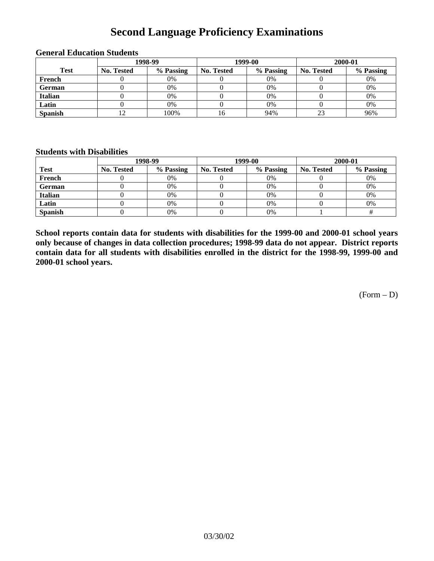# **Second Language Proficiency Examinations**

|                | 1998-99    |           |                   | 1999-00   | 2000-01           |           |  |
|----------------|------------|-----------|-------------------|-----------|-------------------|-----------|--|
| <b>Test</b>    | No. Tested | % Passing | <b>No. Tested</b> | % Passing | <b>No. Tested</b> | % Passing |  |
| French         |            | 0%        |                   | 0%        |                   | 0%        |  |
| <b>German</b>  |            | 0%        |                   | 0%        |                   | 0%        |  |
| <b>Italian</b> |            | 0%        |                   | 0%        |                   | 0%        |  |
| Latin          |            | 0%        |                   | 0%        |                   | 0%        |  |
| <b>Spanish</b> |            | 100%      | 16                | 94%       |                   | 96%       |  |

### **General Education Students**

### **Students with Disabilities**

|                | 1998-99    |           |                   | 1999-00   | 2000-01    |           |  |
|----------------|------------|-----------|-------------------|-----------|------------|-----------|--|
| <b>Test</b>    | No. Tested | % Passing | <b>No. Tested</b> | % Passing | No. Tested | % Passing |  |
| French         |            | 0%        |                   | 0%        |            | 0%        |  |
| <b>German</b>  |            | 0%        |                   | $0\%$     |            | 0%        |  |
| Italian        |            | 0%        |                   | 0%        |            | 0%        |  |
| Latin          |            | 0%        |                   | $0\%$     |            | 0%        |  |
| <b>Spanish</b> |            | 0%        |                   | 0%        |            |           |  |

**School reports contain data for students with disabilities for the 1999-00 and 2000-01 school years only because of changes in data collection procedures; 1998-99 data do not appear. District reports contain data for all students with disabilities enrolled in the district for the 1998-99, 1999-00 and 2000-01 school years.**

 $(Form - D)$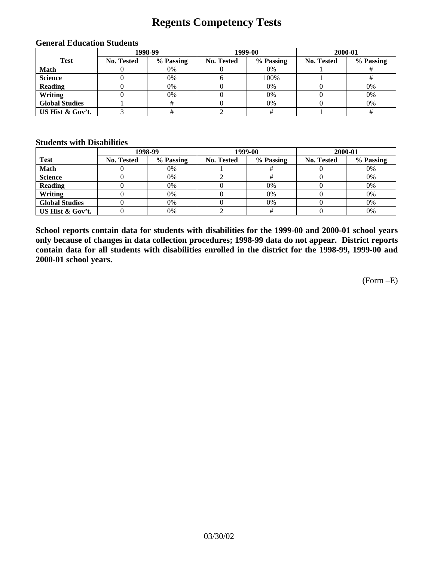# **Regents Competency Tests**

|                       | 1998-99           |           |            | 1999-00   | 2000-01           |           |  |
|-----------------------|-------------------|-----------|------------|-----------|-------------------|-----------|--|
| <b>Test</b>           | <b>No. Tested</b> | % Passing | No. Tested | % Passing | <b>No. Tested</b> | % Passing |  |
| <b>Math</b>           |                   | 0%        |            | 0%        |                   |           |  |
| <b>Science</b>        |                   | 0%        |            | 100%      |                   |           |  |
| <b>Reading</b>        |                   | 0%        |            | 0%        |                   | 0%        |  |
| Writing               |                   | 0%        |            | 0%        |                   | 0%        |  |
| <b>Global Studies</b> |                   |           |            | 0%        |                   | 0%        |  |
| US Hist & Gov't.      |                   |           |            |           |                   |           |  |

#### **General Education Students**

#### **Students with Disabilities**

|                       |                   | 1998-99   | 1999-00    |           | 2000-01    |           |
|-----------------------|-------------------|-----------|------------|-----------|------------|-----------|
| <b>Test</b>           | <b>No. Tested</b> | % Passing | No. Tested | % Passing | No. Tested | % Passing |
| <b>Math</b>           |                   | 0%        |            |           |            | 0%        |
| <b>Science</b>        |                   | 0%        |            |           |            | 0%        |
| <b>Reading</b>        |                   | 0%        |            | $0\%$     |            | 0%        |
| Writing               |                   | 0%        |            | 0%        |            | 0%        |
| <b>Global Studies</b> |                   | 0%        |            | $0\%$     |            | 0%        |
| US Hist & Gov't.      |                   | 0%        |            |           |            | 0%        |

**School reports contain data for students with disabilities for the 1999-00 and 2000-01 school years only because of changes in data collection procedures; 1998-99 data do not appear. District reports contain data for all students with disabilities enrolled in the district for the 1998-99, 1999-00 and 2000-01 school years.**

(Form –E)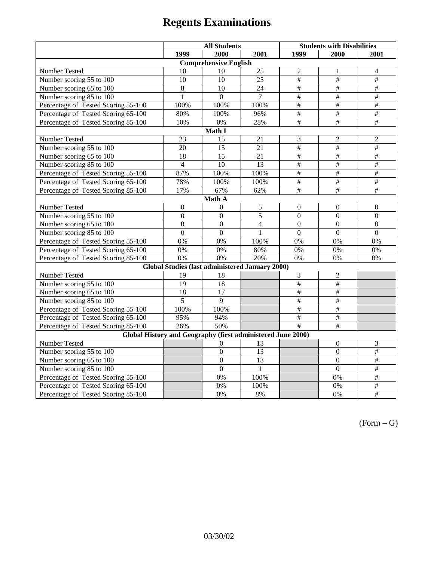|                                                             | <b>All Students</b> |                                                 |                          | <b>Students with Disabilities</b> |                           |                          |  |  |
|-------------------------------------------------------------|---------------------|-------------------------------------------------|--------------------------|-----------------------------------|---------------------------|--------------------------|--|--|
|                                                             | 1999                | 2000                                            | 2001                     | 1999                              | 2000                      | 2001                     |  |  |
|                                                             |                     | <b>Comprehensive English</b>                    |                          |                                   |                           |                          |  |  |
| Number Tested                                               | 10                  | 10                                              | $\overline{25}$          | $\overline{2}$                    | $\mathbf{1}$              | $\overline{4}$           |  |  |
| Number scoring 55 to 100                                    | 10                  | 10                                              | 25                       | $\#$                              | $\#$                      | $\#$                     |  |  |
| Number scoring 65 to 100                                    | 8                   | 10                                              | 24                       | $\overline{\overline{t}}$         | $\overline{+}$            | $\overline{+}$           |  |  |
| Number scoring 85 to 100                                    | 1                   | $\Omega$                                        | $\overline{7}$           | $\overline{\#}$                   | #                         | #                        |  |  |
| Percentage of Tested Scoring 55-100                         | 100%                | 100%                                            | 100%                     | $\overline{\#}$                   | $\overline{\overline{}}$  | $\overline{\overline{}}$ |  |  |
| Percentage of Tested Scoring 65-100                         | 80%                 | 100%                                            | 96%                      | #                                 | $\#$                      | #                        |  |  |
| Percentage of Tested Scoring 85-100                         | 10%                 | 0%                                              | 28%                      | $\overline{\overline{t}}$         | $\overline{+}$            | $\overline{+}$           |  |  |
|                                                             |                     | Math I                                          |                          |                                   |                           |                          |  |  |
| <b>Number Tested</b>                                        | $\overline{23}$     | 15                                              | 21                       | 3                                 | $\overline{2}$            | $\overline{2}$           |  |  |
| Number scoring 55 to 100                                    | 20                  | 15                                              | 21                       | $\overline{\overline{H}}$         | $\overline{\#}$           | $\overline{\overline{}}$ |  |  |
| Number scoring 65 to 100                                    | 18                  | 15                                              | 21                       | $\overline{\overline{t}}$         | $\overline{\overline{t}}$ | $\overline{+}$           |  |  |
| Number scoring 85 to 100                                    | $\overline{4}$      | $\overline{10}$                                 | $\overline{13}$          | $\overline{\#}$                   | #                         | #                        |  |  |
| Percentage of Tested Scoring 55-100                         | 87%                 | 100%                                            | 100%                     | $\overline{\#}$                   | $\overline{\overline{}}$  | $\overline{\#}$          |  |  |
| Percentage of Tested Scoring 65-100                         | 78%                 | 100%                                            | 100%                     | $\#$                              | $\#$                      | $\#$                     |  |  |
| Percentage of Tested Scoring 85-100                         | 17%                 | 67%                                             | 62%                      | $\overline{\#}$                   | $\overline{+}$            | $\overline{\#}$          |  |  |
| Math A                                                      |                     |                                                 |                          |                                   |                           |                          |  |  |
| Number Tested                                               | $\boldsymbol{0}$    | $\mathbf{0}$                                    | $\sqrt{5}$               | $\boldsymbol{0}$                  | $\boldsymbol{0}$          | $\boldsymbol{0}$         |  |  |
| Number scoring 55 to 100                                    | $\boldsymbol{0}$    | $\boldsymbol{0}$                                | $\overline{5}$           | $\overline{0}$                    | $\overline{0}$            | $\boldsymbol{0}$         |  |  |
| Number scoring 65 to 100                                    | $\mathbf{0}$        | $\mathbf{0}$                                    | $\overline{\mathcal{L}}$ | $\overline{0}$                    | $\boldsymbol{0}$          | $\boldsymbol{0}$         |  |  |
| Number scoring 85 to 100                                    | $\overline{0}$      | $\overline{0}$                                  | $\mathbf{1}$             | $\mathbf{0}$                      | $\mathbf{0}$              | $\mathbf{0}$             |  |  |
| Percentage of Tested Scoring 55-100                         | 0%                  | 0%                                              | 100%                     | 0%                                | 0%                        | 0%                       |  |  |
| Percentage of Tested Scoring 65-100                         | 0%                  | 0%                                              | 80%                      | $\overline{0\%}$                  | $\overline{0\%}$          | $\overline{0\%}$         |  |  |
| Percentage of Tested Scoring 85-100                         | 0%                  | 0%                                              | 20%                      | 0%                                | 0%                        | 0%                       |  |  |
|                                                             |                     | Global Studies (last administered January 2000) |                          |                                   |                           |                          |  |  |
| Number Tested                                               | 19                  | 18                                              |                          | 3                                 | $\overline{2}$            |                          |  |  |
| Number scoring 55 to 100                                    | $\overline{19}$     | $\overline{18}$                                 |                          | $\overline{\#}$                   | #                         |                          |  |  |
| Number scoring 65 to 100                                    | 18                  | 17                                              |                          | $\#$                              | $\#$                      |                          |  |  |
| Number scoring 85 to 100                                    | 5                   | 9                                               |                          | $\overline{\overline{H}}$         | $\overline{\overline{t}}$ |                          |  |  |
| Percentage of Tested Scoring 55-100                         | 100%                | 100%                                            |                          | $\overline{\overline{t}}$         | $\overline{\overline{t}}$ |                          |  |  |
| Percentage of Tested Scoring 65-100                         | 95%                 | 94%                                             |                          | $\overline{\#}$                   | #                         |                          |  |  |
| Percentage of Tested Scoring 85-100                         | 26%                 | 50%                                             |                          | $\overline{\#}$                   | $\overline{\overline{t}}$ |                          |  |  |
| Global History and Geography (first administered June 2000) |                     |                                                 |                          |                                   |                           |                          |  |  |
| Number Tested                                               |                     | 0                                               | 13                       |                                   | $\mathbf{0}$              | 3                        |  |  |
| Number scoring 55 to 100                                    |                     | $\boldsymbol{0}$                                | 13                       |                                   | $\boldsymbol{0}$          | $\overline{\#}$          |  |  |
| Number scoring 65 to 100                                    |                     | $\mathbf{0}$                                    | 13                       |                                   | $\overline{0}$            | $\#$                     |  |  |
| Number scoring 85 to 100                                    |                     | $\mathbf{0}$                                    | $\mathbf{1}$             |                                   | $\overline{0}$            | $\overline{\overline{}}$ |  |  |
| Percentage of Tested Scoring 55-100                         |                     | 0%                                              | 100%                     |                                   | 0%                        | #                        |  |  |
| Percentage of Tested Scoring 65-100                         |                     | 0%                                              | 100%                     |                                   | 0%                        | $\overline{\#}$          |  |  |
| Percentage of Tested Scoring 85-100                         |                     | 0%                                              | $8\%$                    |                                   | 0%                        | $\overline{\#}$          |  |  |

 $(Form - G)$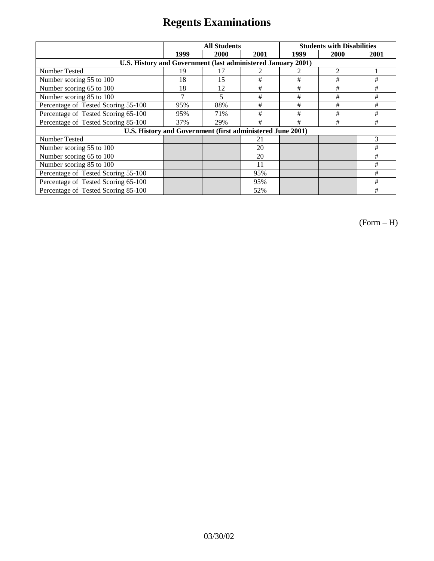|                                                              | <b>All Students</b> |      |      | <b>Students with Disabilities</b> |      |      |
|--------------------------------------------------------------|---------------------|------|------|-----------------------------------|------|------|
|                                                              | 1999                | 2000 | 2001 | 1999                              | 2000 | 2001 |
| U.S. History and Government (last administered January 2001) |                     |      |      |                                   |      |      |
| Number Tested                                                | 19                  |      |      |                                   | 2    |      |
| Number scoring 55 to 100                                     | 18                  | 15   | #    | #                                 | #    | #    |
| Number scoring 65 to 100                                     | 18                  | 12   | $\#$ | $\#$                              | #    | #    |
| Number scoring 85 to 100                                     |                     | 5    | #    | #                                 | #    | #    |
| Percentage of Tested Scoring 55-100                          | 95%                 | 88%  | #    | #                                 | #    | #    |
| Percentage of Tested Scoring 65-100                          | 95%                 | 71%  | #    | #                                 | #    | #    |
| Percentage of Tested Scoring 85-100                          | 37%                 | 29%  | #    | #                                 | #    | #    |
| U.S. History and Government (first administered June 2001)   |                     |      |      |                                   |      |      |
| Number Tested                                                |                     |      | 21   |                                   |      | 3    |
| Number scoring 55 to 100                                     |                     |      | 20   |                                   |      | #    |
| Number scoring 65 to 100                                     |                     |      | 20   |                                   |      | #    |
| Number scoring 85 to 100                                     |                     |      | 11   |                                   |      | #    |
| Percentage of Tested Scoring 55-100                          |                     |      | 95%  |                                   |      | #    |
| Percentage of Tested Scoring 65-100                          |                     |      | 95%  |                                   |      | #    |
| Percentage of Tested Scoring 85-100                          |                     |      | 52%  |                                   |      | #    |

(Form – H)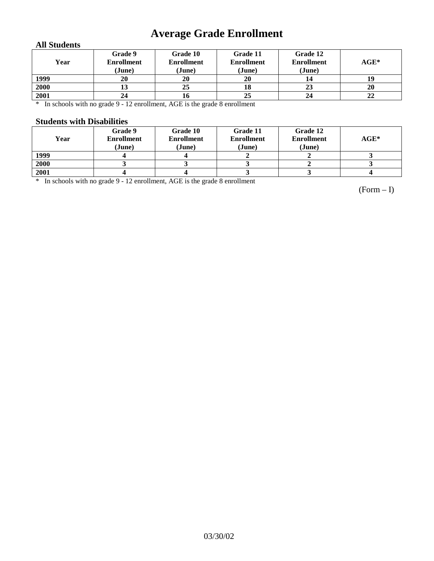# **Average Grade Enrollment**

### **All Students**

| Year | Grade 9<br><b>Enrollment</b><br>(June) | Grade 10<br><b>Enrollment</b><br>(June) | Grade 11<br><b>Enrollment</b><br>(June) | Grade 12<br><b>Enrollment</b><br>(June) | $AGE^*$ |
|------|----------------------------------------|-----------------------------------------|-----------------------------------------|-----------------------------------------|---------|
| 1999 | 20                                     | 20                                      | 20                                      | 14                                      | 19      |
| 2000 | IJ                                     | 25                                      | 18                                      | 23                                      | 20      |
| 2001 | 24                                     | 10                                      | 25                                      | 24                                      | 22      |

\* In schools with no grade 9 - 12 enrollment, AGE is the grade 8 enrollment

#### **Students with Disabilities**

| Year | Grade 9<br>Enrollment<br>(June) | Grade 10<br><b>Enrollment</b><br>(June) | Grade 11<br><b>Enrollment</b><br>(June) | Grade 12<br><b>Enrollment</b><br>(June) | $AGE^*$ |
|------|---------------------------------|-----------------------------------------|-----------------------------------------|-----------------------------------------|---------|
| 1999 |                                 |                                         |                                         |                                         |         |
| 2000 |                                 |                                         |                                         |                                         |         |
| 2001 |                                 |                                         |                                         |                                         |         |

\* In schools with no grade 9 - 12 enrollment, AGE is the grade 8 enrollment

(Form – I)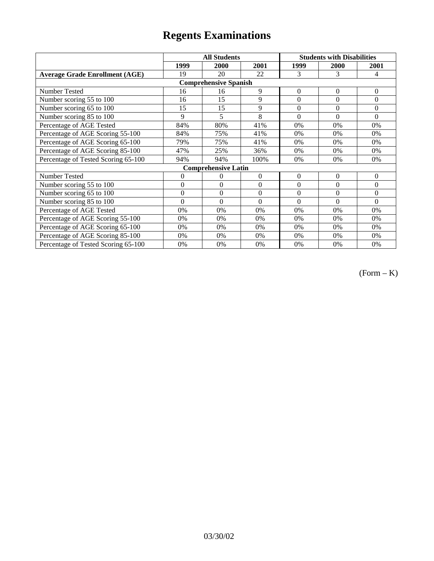|                                       |                | <b>All Students</b>        |                  | <b>Students with Disabilities</b> |                |              |  |  |
|---------------------------------------|----------------|----------------------------|------------------|-----------------------------------|----------------|--------------|--|--|
|                                       | 1999           | 2000                       | 2001             | 1999                              | 2000           | 2001         |  |  |
| <b>Average Grade Enrollment (AGE)</b> | 19             | 20                         | 22               | 3                                 | 3              | 4            |  |  |
| <b>Comprehensive Spanish</b>          |                |                            |                  |                                   |                |              |  |  |
| Number Tested                         | 16             | 16                         | 9                | $\overline{0}$                    | $\overline{0}$ | $\mathbf{0}$ |  |  |
| Number scoring 55 to 100              | 16             | 15                         | 9                | $\theta$                          | $\theta$       | $\theta$     |  |  |
| Number scoring 65 to 100              | 15             | 15                         | 9                | $\overline{0}$                    | $\overline{0}$ | $\mathbf{0}$ |  |  |
| Number scoring 85 to 100              | 9              | 5                          | 8                | $\theta$                          | $\theta$       | $\Omega$     |  |  |
| Percentage of AGE Tested              | 84%            | 80%                        | 41%              | 0%                                | 0%             | 0%           |  |  |
| Percentage of AGE Scoring 55-100      | 84%            | 75%                        | 41%              | 0%                                | 0%             | 0%           |  |  |
| Percentage of AGE Scoring 65-100      | 79%            | 75%                        | 41%              | 0%                                | 0%             | 0%           |  |  |
| Percentage of AGE Scoring 85-100      | 47%            | 25%                        | 36%              | 0%                                | 0%             | 0%           |  |  |
| Percentage of Tested Scoring 65-100   | 94%            | 94%                        | 100%             | 0%                                | 0%             | 0%           |  |  |
|                                       |                | <b>Comprehensive Latin</b> |                  |                                   |                |              |  |  |
| Number Tested                         | $\overline{0}$ | 0                          | $\Omega$         | $\theta$                          | $\theta$       | $\theta$     |  |  |
| Number scoring 55 to 100              | $\mathbf{0}$   | $\theta$                   | $\theta$         | $\theta$                          | $\theta$       | $\Omega$     |  |  |
| Number scoring 65 to 100              | $\mathbf{0}$   | $\boldsymbol{0}$           | $\boldsymbol{0}$ | $\boldsymbol{0}$                  | $\theta$       | $\Omega$     |  |  |
| Number scoring 85 to 100              | $\theta$       | $\theta$                   | $\theta$         | $\theta$                          | $\theta$       | $\Omega$     |  |  |
| Percentage of AGE Tested              | 0%             | 0%                         | 0%               | 0%                                | 0%             | 0%           |  |  |
| Percentage of AGE Scoring 55-100      | 0%             | 0%                         | 0%               | 0%                                | 0%             | 0%           |  |  |
| Percentage of AGE Scoring 65-100      | 0%             | 0%                         | 0%               | 0%                                | 0%             | 0%           |  |  |
| Percentage of AGE Scoring 85-100      | 0%             | 0%                         | 0%               | 0%                                | 0%             | 0%           |  |  |
| Percentage of Tested Scoring 65-100   | 0%             | 0%                         | 0%               | 0%                                | 0%             | 0%           |  |  |

 $(Form - K)$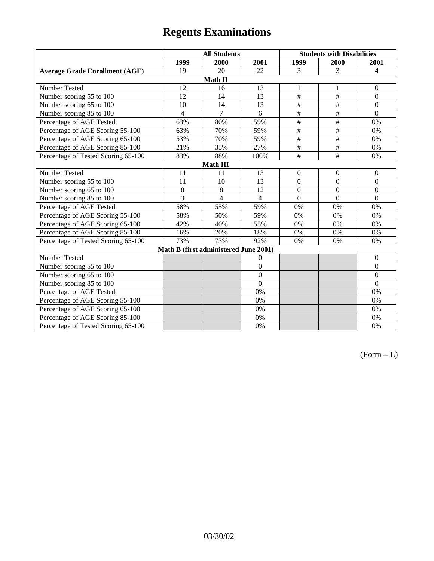|                                       | <b>All Students</b> |                                       |                 | <b>Students with Disabilities</b> |                 |                  |  |  |
|---------------------------------------|---------------------|---------------------------------------|-----------------|-----------------------------------|-----------------|------------------|--|--|
|                                       | 1999                | 2000                                  | 2001            | 1999                              | 2000            | 2001             |  |  |
| <b>Average Grade Enrollment (AGE)</b> | 19                  | 20                                    | 22              | 3                                 | 3               | 4                |  |  |
|                                       |                     | Math II                               |                 |                                   |                 |                  |  |  |
| Number Tested                         | 12                  | 16                                    | 13              | 1                                 | 1               | $\boldsymbol{0}$ |  |  |
| Number scoring 55 to 100              | 12                  | 14                                    | $\overline{13}$ | $\overline{1}$                    | #               | $\mathbf{0}$     |  |  |
| Number scoring 65 to 100              | 10                  | 14                                    | 13              | $\overline{\overline{H}}$         | $\overline{+}$  | $\boldsymbol{0}$ |  |  |
| Number scoring 85 to 100              | 4                   | $\overline{7}$                        | 6               | #                                 | #               | $\boldsymbol{0}$ |  |  |
| Percentage of AGE Tested              | 63%                 | 80%                                   | 59%             | #                                 | #               | 0%               |  |  |
| Percentage of AGE Scoring 55-100      | 63%                 | 70%                                   | 59%             | $\overline{1}$                    | #               | 0%               |  |  |
| Percentage of AGE Scoring 65-100      | 53%                 | 70%                                   | 59%             | $\overline{\overline{H}}$         | $\overline{+}$  | 0%               |  |  |
| Percentage of AGE Scoring 85-100      | 21%                 | 35%                                   | 27%             | #                                 | $\overline{\#}$ | 0%               |  |  |
| Percentage of Tested Scoring 65-100   | 83%                 | 88%                                   | 100%            | $\overline{\overline{t}}$         | $\overline{+}$  | 0%               |  |  |
| <b>Math III</b>                       |                     |                                       |                 |                                   |                 |                  |  |  |
| Number Tested                         | 11                  | 11                                    | 13              | $\mathbf{0}$                      | $\mathbf{0}$    | $\mathbf{0}$     |  |  |
| Number scoring 55 to 100              | 11                  | 10                                    | 13              | $\overline{0}$                    | $\overline{0}$  | $\overline{0}$   |  |  |
| Number scoring 65 to 100              | $\,8\,$             | 8                                     | 12              | $\overline{0}$                    | $\theta$        | $\theta$         |  |  |
| Number scoring 85 to 100              | 3                   | $\overline{4}$                        | $\overline{4}$  | $\Omega$                          | $\Omega$        | $\Omega$         |  |  |
| Percentage of AGE Tested              | 58%                 | 55%                                   | 59%             | 0%                                | 0%              | 0%               |  |  |
| Percentage of AGE Scoring 55-100      | 58%                 | 50%                                   | 59%             | 0%                                | 0%              | 0%               |  |  |
| Percentage of AGE Scoring 65-100      | 42%                 | 40%                                   | 55%             | 0%                                | 0%              | 0%               |  |  |
| Percentage of AGE Scoring 85-100      | 16%                 | 20%                                   | 18%             | 0%                                | 0%              | 0%               |  |  |
| Percentage of Tested Scoring 65-100   | 73%                 | 73%                                   | 92%             | 0%                                | 0%              | 0%               |  |  |
|                                       |                     | Math B (first administered June 2001) |                 |                                   |                 |                  |  |  |
| Number Tested                         |                     |                                       | $\theta$        |                                   |                 | $\theta$         |  |  |
| Number scoring 55 to 100              |                     |                                       | $\theta$        |                                   |                 | $\Omega$         |  |  |
| Number scoring 65 to 100              |                     |                                       | $\theta$        |                                   |                 | $\boldsymbol{0}$ |  |  |
| Number scoring 85 to 100              |                     |                                       | $\overline{0}$  |                                   |                 | $\mathbf{0}$     |  |  |
| Percentage of AGE Tested              |                     |                                       | 0%              |                                   |                 | 0%               |  |  |
| Percentage of AGE Scoring 55-100      |                     |                                       | 0%              |                                   |                 | 0%               |  |  |
| Percentage of AGE Scoring 65-100      |                     |                                       | 0%              |                                   |                 | 0%               |  |  |
| Percentage of AGE Scoring 85-100      |                     |                                       | 0%              |                                   |                 | 0%               |  |  |
| Percentage of Tested Scoring 65-100   |                     |                                       | 0%              |                                   |                 | 0%               |  |  |

 $(Form - L)$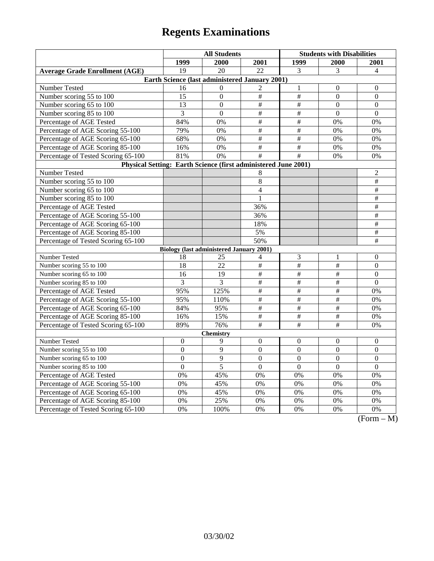|                                                                | <b>All Students</b>                             |                  |                         | <b>Students with Disabilities</b> |                      |                                |
|----------------------------------------------------------------|-------------------------------------------------|------------------|-------------------------|-----------------------------------|----------------------|--------------------------------|
|                                                                | 1999                                            | 2000             | 2001                    | 1999                              | <b>2000</b>          | <b>2001</b>                    |
| <b>Average Grade Enrollment (AGE)</b>                          | 19                                              | 20               | $\overline{22}$         | 3                                 | 3                    | $\overline{4}$                 |
|                                                                | Earth Science (last administered January 2001)  |                  |                         |                                   |                      |                                |
| Number Tested                                                  | 16                                              | $\Omega$         | $\overline{2}$          | $\mathbf{1}$                      | $\boldsymbol{0}$     | $\boldsymbol{0}$               |
| Number scoring 55 to 100                                       | 15                                              | $\boldsymbol{0}$ | $\#$                    | $\#$                              | $\overline{0}$       | $\boldsymbol{0}$               |
| Number scoring 65 to 100                                       | 13                                              | $\theta$         | #                       | $\#$                              | $\theta$             | $\theta$                       |
| Number scoring 85 to 100                                       | 3                                               | $\overline{0}$   | $\#$                    | $\#$                              | $\overline{0}$       | $\mathbf{0}$                   |
| Percentage of AGE Tested                                       | 84%                                             | 0%               | $\frac{1}{2}$           | $\frac{1}{2}$                     | 0%                   | 0%                             |
| Percentage of AGE Scoring 55-100                               | 79%                                             | 0%               | $\#$                    | $\#$                              | 0%                   | 0%                             |
| Percentage of AGE Scoring 65-100                               | 68%                                             | 0%               | $\#$                    | $\#$                              | 0%                   | 0%                             |
| Percentage of AGE Scoring 85-100                               | 16%                                             | 0%               | $\#$                    | $\overline{\#}$                   | 0%                   | 0%                             |
| Percentage of Tested Scoring 65-100                            | 81%                                             | 0%               | #                       | $\overline{\#}$                   | 0%                   | 0%                             |
| Physical Setting: Earth Science (first administered June 2001) |                                                 |                  |                         |                                   |                      |                                |
| Number Tested                                                  |                                                 |                  | 8                       |                                   |                      | $\overline{2}$                 |
| Number scoring 55 to 100                                       |                                                 |                  | $\overline{8}$          |                                   |                      | $\overline{\ddot{}}$           |
| Number scoring 65 to 100                                       |                                                 |                  | $\overline{4}$          |                                   |                      | $\#$                           |
| Number scoring 85 to 100                                       |                                                 |                  | 1                       |                                   |                      | $\overline{\#}$                |
| Percentage of AGE Tested                                       |                                                 |                  | 36%                     |                                   |                      | $\#$                           |
| Percentage of AGE Scoring 55-100                               |                                                 |                  | 36%                     |                                   |                      | $\#$                           |
| Percentage of AGE Scoring 65-100                               |                                                 |                  | 18%                     |                                   |                      | $\#$                           |
| Percentage of AGE Scoring 85-100                               |                                                 |                  | 5%                      |                                   |                      | $\overline{\#}$                |
| Percentage of Tested Scoring 65-100                            |                                                 |                  | 50%                     |                                   |                      | $\#$                           |
|                                                                | <b>Biology (last administered January 2001)</b> |                  |                         |                                   |                      |                                |
| Number Tested                                                  | 18                                              | 25               | 4                       | 3                                 | 1                    | $\boldsymbol{0}$               |
| Number scoring 55 to 100                                       | 18                                              | 22               | #                       | $\#$                              | $\#$                 | $\mathbf{0}$                   |
| Number scoring 65 to 100                                       | 16                                              | 19               | $\#$                    | $\#$                              | $\#$                 | $\boldsymbol{0}$               |
| Number scoring 85 to 100                                       | 3                                               | 3                | $\overline{\ddot{\pi}}$ | $\#$                              | $\overline{\ddot{}}$ | $\theta$                       |
| Percentage of AGE Tested                                       | 95%                                             | 125%             | $\overline{\ddot{\pi}}$ | $\overline{\#}$                   | $\overline{\ddot{}}$ | 0%                             |
| Percentage of AGE Scoring 55-100                               | 95%                                             | 110%             | $\overline{\ddot{\pi}}$ | $\overline{\#}$                   | $\overline{\ddot{}}$ | 0%                             |
| Percentage of AGE Scoring 65-100                               | 84%                                             | 95%              | $\#$                    | $\#$                              | $\#$                 | 0%                             |
| Percentage of AGE Scoring 85-100                               | 16%                                             | 15%              | $\#$                    | $\#$                              | $\#$                 | 0%                             |
| Percentage of Tested Scoring 65-100                            | 89%                                             | 76%              | $\overline{\#}$         | $\overline{+}$                    | $\overline{\#}$      | 0%                             |
|                                                                |                                                 | <b>Chemistry</b> |                         |                                   |                      |                                |
| Number Tested                                                  | $\mathbf{0}$                                    | 9                | $\theta$                | $\theta$                          | $\theta$             | $\theta$                       |
| Number scoring 55 to 100                                       | $\mathbf{0}$                                    | 9                | $\mathbf{0}$            | $\mathbf{0}$                      | $\overline{0}$       | $\overline{0}$                 |
| Number scoring 65 to 100                                       | $\overline{0}$                                  | $\overline{9}$   | $\overline{0}$          | $\overline{0}$                    | $\overline{0}$       | $\overline{0}$                 |
| Number scoring 85 to 100                                       | $\boldsymbol{0}$                                | 5                | $\boldsymbol{0}$        | $\boldsymbol{0}$                  | $\mathbf{0}$         | $\boldsymbol{0}$               |
| Percentage of AGE Tested                                       | 0%                                              | 45%              | 0%                      | 0%                                | 0%                   | 0%                             |
| Percentage of AGE Scoring 55-100                               | 0%                                              | 45%              | 0%                      | 0%                                | $\overline{0\%}$     | 0%                             |
| Percentage of AGE Scoring 65-100                               | 0%                                              | 45%              | 0%                      | 0%                                | 0%                   | 0%                             |
| Percentage of AGE Scoring 85-100                               | 0%                                              | 25%              | 0%                      | 0%                                | 0%                   | 0%                             |
| Percentage of Tested Scoring 65-100                            | 0%                                              | 100%             | 0%                      | 0%                                | 0%                   | 0%<br>$\Gamma$<br>$\mathbf{M}$ |

(Form – M)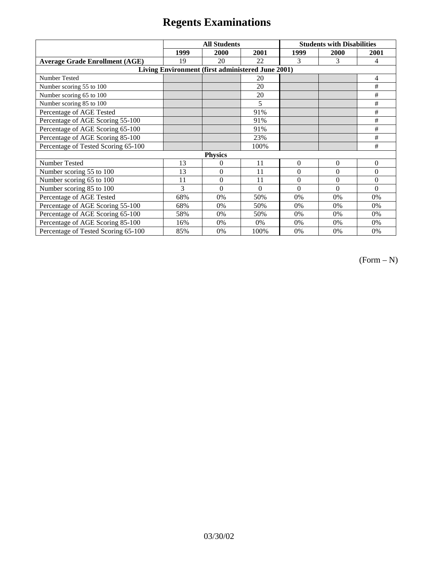|                                                   | <b>All Students</b> |                |          | <b>Students with Disabilities</b> |          |                  |  |
|---------------------------------------------------|---------------------|----------------|----------|-----------------------------------|----------|------------------|--|
|                                                   | 1999                | 2000           | 2001     | 1999                              | 2000     | 2001             |  |
| <b>Average Grade Enrollment (AGE)</b>             | 19                  | 20             | 22       | 3                                 | 3        | 4                |  |
| Living Environment (first administered June 2001) |                     |                |          |                                   |          |                  |  |
| Number Tested                                     |                     |                | 20       |                                   |          | 4                |  |
| Number scoring 55 to 100                          |                     |                | 20       |                                   |          | #                |  |
| Number scoring 65 to 100                          |                     |                | 20       |                                   |          | #                |  |
| Number scoring 85 to 100                          |                     |                | 5        |                                   |          | #                |  |
| Percentage of AGE Tested                          |                     |                | 91%      |                                   |          | #                |  |
| Percentage of AGE Scoring 55-100                  |                     |                | 91%      |                                   |          | #                |  |
| Percentage of AGE Scoring 65-100                  |                     |                | 91%      |                                   |          | #                |  |
| Percentage of AGE Scoring 85-100                  |                     |                | 23%      |                                   |          | #                |  |
| Percentage of Tested Scoring 65-100               |                     |                | 100%     |                                   |          | #                |  |
| <b>Physics</b>                                    |                     |                |          |                                   |          |                  |  |
| Number Tested                                     | 13                  | $\theta$       | 11       | $\theta$                          | $\theta$ | $\boldsymbol{0}$ |  |
| Number scoring 55 to 100                          | 13                  | $\theta$       | 11       | $\theta$                          | $\theta$ | $\theta$         |  |
| Number scoring 65 to 100                          | 11                  | $\overline{0}$ | 11       | 0                                 | 0        | $\theta$         |  |
| Number scoring 85 to 100                          | 3                   | $\theta$       | $\Omega$ | 0                                 | $\Omega$ | $\Omega$         |  |
| Percentage of AGE Tested                          | 68%                 | 0%             | 50%      | 0%                                | 0%       | 0%               |  |
| Percentage of AGE Scoring 55-100                  | 68%                 | 0%             | 50%      | 0%                                | 0%       | 0%               |  |
| Percentage of AGE Scoring 65-100                  | 58%                 | $0\%$          | 50%      | 0%                                | 0%       | 0%               |  |
| Percentage of AGE Scoring 85-100                  | 16%                 | 0%             | 0%       | 0%                                | 0%       | 0%               |  |
| Percentage of Tested Scoring 65-100               | 85%                 | 0%             | 100%     | 0%                                | 0%       | 0%               |  |

 $(Form - N)$